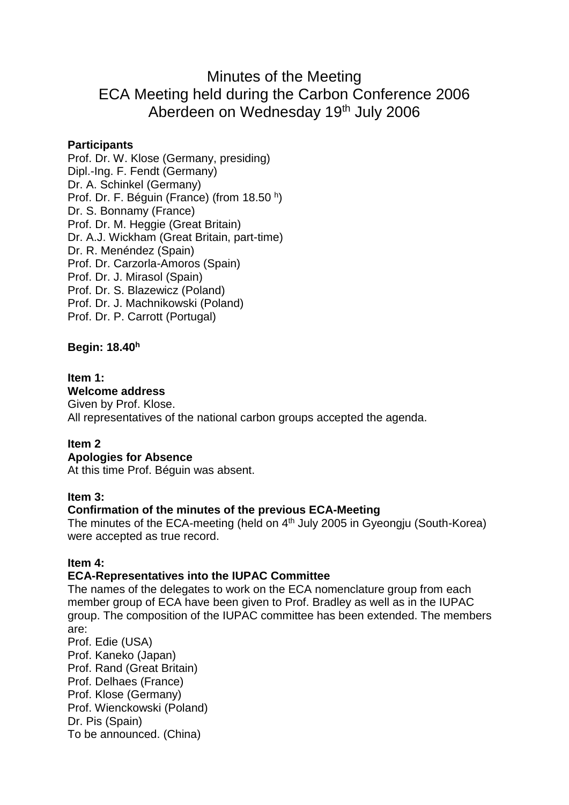# Minutes of the Meeting ECA Meeting held during the Carbon Conference 2006 Aberdeen on Wednesday 19th July 2006

### **Participants**

Prof. Dr. W. Klose (Germany, presiding) Dipl.-Ing. F. Fendt (Germany) Dr. A. Schinkel (Germany) Prof. Dr. F. Béguin (France) (from 18.50 h) Dr. S. Bonnamy (France) Prof. Dr. M. Heggie (Great Britain) Dr. A.J. Wickham (Great Britain, part-time) Dr. R. Menéndez (Spain) Prof. Dr. Carzorla-Amoros (Spain) Prof. Dr. J. Mirasol (Spain) Prof. Dr. S. Blazewicz (Poland) Prof. Dr. J. Machnikowski (Poland) Prof. Dr. P. Carrott (Portugal)

**Begin: 18.40<sup>h</sup>**

### **Item 1:**

### **Welcome address**

Given by Prof. Klose. All representatives of the national carbon groups accepted the agenda.

### **Item 2**

# **Apologies for Absence**

At this time Prof. Béguin was absent.

### **Item 3:**

### **Confirmation of the minutes of the previous ECA-Meeting**

The minutes of the ECA-meeting (held on  $4<sup>th</sup>$  July 2005 in Gyeongju (South-Korea) were accepted as true record.

### **Item 4:**

### **ECA-Representatives into the IUPAC Committee**

The names of the delegates to work on the ECA nomenclature group from each member group of ECA have been given to Prof. Bradley as well as in the IUPAC group. The composition of the IUPAC committee has been extended. The members are:

Prof. Edie (USA) Prof. Kaneko (Japan) Prof. Rand (Great Britain) Prof. Delhaes (France) Prof. Klose (Germany) Prof. Wienckowski (Poland) Dr. Pis (Spain) To be announced. (China)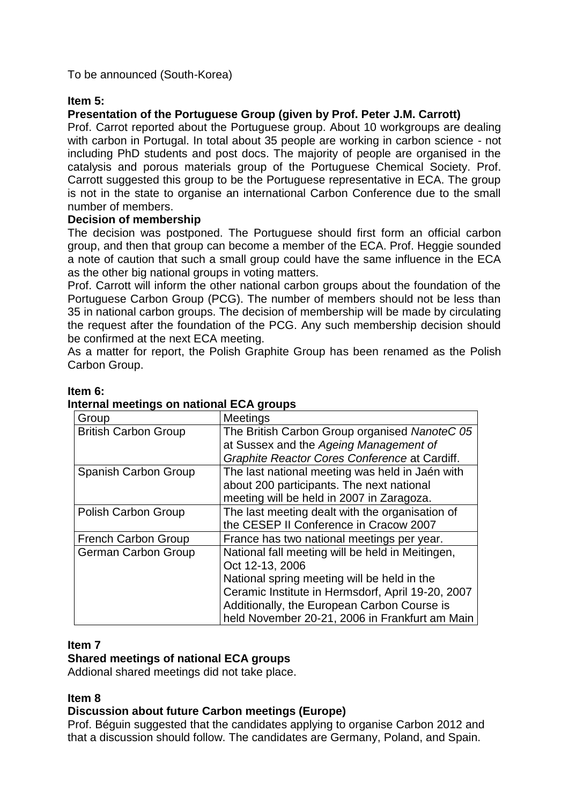To be announced (South-Korea)

### **Item 5:**

# **Presentation of the Portuguese Group (given by Prof. Peter J.M. Carrott)**

Prof. Carrot reported about the Portuguese group. About 10 workgroups are dealing with carbon in Portugal. In total about 35 people are working in carbon science - not including PhD students and post docs. The majority of people are organised in the catalysis and porous materials group of the Portuguese Chemical Society. Prof. Carrott suggested this group to be the Portuguese representative in ECA. The group is not in the state to organise an international Carbon Conference due to the small number of members.

### **Decision of membership**

The decision was postponed. The Portuguese should first form an official carbon group, and then that group can become a member of the ECA. Prof. Heggie sounded a note of caution that such a small group could have the same influence in the ECA as the other big national groups in voting matters.

Prof. Carrott will inform the other national carbon groups about the foundation of the Portuguese Carbon Group (PCG). The number of members should not be less than 35 in national carbon groups. The decision of membership will be made by circulating the request after the foundation of the PCG. Any such membership decision should be confirmed at the next ECA meeting.

As a matter for report, the Polish Graphite Group has been renamed as the Polish Carbon Group.

### **Item 6:**

| Group                       | <b>Meetings</b>                                   |
|-----------------------------|---------------------------------------------------|
| <b>British Carbon Group</b> | The British Carbon Group organised NanoteC 05     |
|                             | at Sussex and the Ageing Management of            |
|                             | Graphite Reactor Cores Conference at Cardiff.     |
| Spanish Carbon Group        | The last national meeting was held in Jaén with   |
|                             | about 200 participants. The next national         |
|                             | meeting will be held in 2007 in Zaragoza.         |
| Polish Carbon Group         | The last meeting dealt with the organisation of   |
|                             | the CESEP II Conference in Cracow 2007            |
| <b>French Carbon Group</b>  | France has two national meetings per year.        |
| <b>German Carbon Group</b>  | National fall meeting will be held in Meitingen,  |
|                             | Oct 12-13, 2006                                   |
|                             | National spring meeting will be held in the       |
|                             | Ceramic Institute in Hermsdorf, April 19-20, 2007 |
|                             | Additionally, the European Carbon Course is       |
|                             | held November 20-21, 2006 in Frankfurt am Main    |

# **Internal meetings on national ECA groups**

### **Item 7**

### **Shared meetings of national ECA groups**

Addional shared meetings did not take place.

### **Item 8**

### **Discussion about future Carbon meetings (Europe)**

Prof. Béguin suggested that the candidates applying to organise Carbon 2012 and that a discussion should follow. The candidates are Germany, Poland, and Spain.